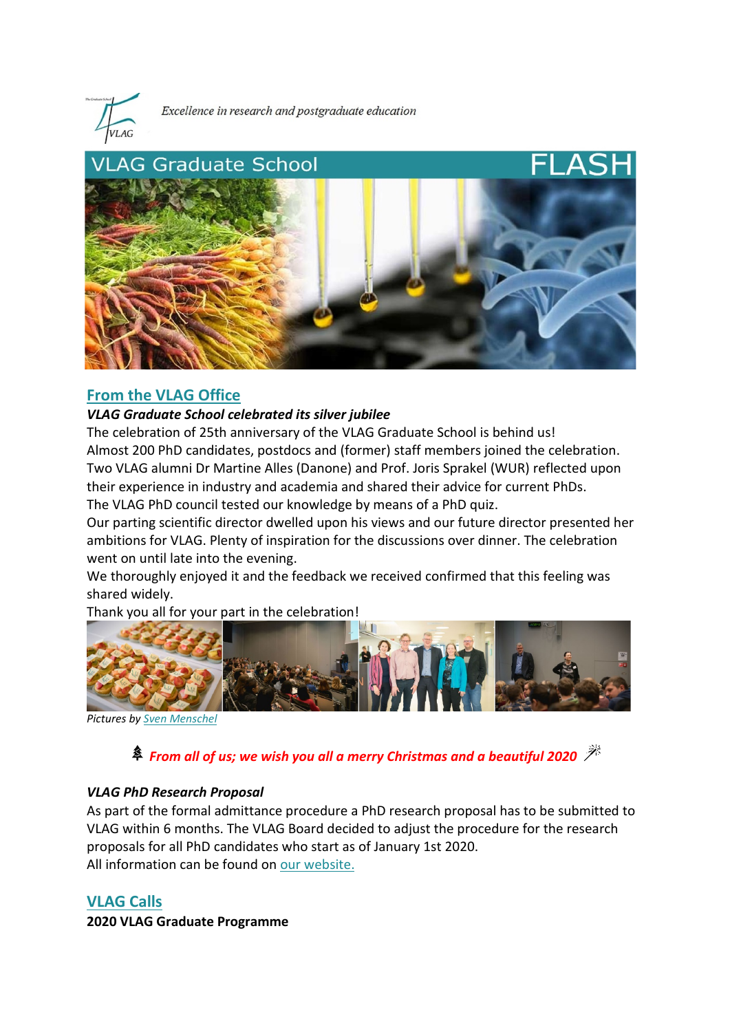

Excellence in research and postgraduate education



## **From the VLAG Office**

### *VLAG Graduate School celebrated its silver jubilee*

The celebration of 25th anniversary of the VLAG Graduate School is behind us! Almost 200 PhD candidates, postdocs and (former) staff members joined the celebration. Two VLAG alumni Dr Martine Alles (Danone) and Prof. Joris Sprakel (WUR) reflected upon their experience in industry and academia and shared their advice for current PhDs. The VLAG PhD council tested our knowledge by means of a PhD quiz.

Our parting scientific director dwelled upon his views and our future director presented her ambitions for VLAG. Plenty of inspiration for the discussions over dinner. The celebration went on until late into the evening.

We thoroughly enjoyed it and the feedback we received confirmed that this feeling was shared widely.

Thank you all for your part in the celebration!



*Pictures by [Sven Menschel](http://menschel-photo.com/)*

*From all of us; we wish you all a merry Christmas and a beautiful 2020* 

## *VLAG PhD Research Proposal*

As part of the formal admittance procedure a PhD research proposal has to be submitted to VLAG within 6 months. The VLAG Board decided to adjust the procedure for the research proposals for all PhD candidates who start as of January 1st 2020. All information can be found on [our website.](https://www.vlaggraduateschool.nl/en/phd-candidates/starting_phd.htm)

# **VLAG Calls**

**2020 VLAG Graduate Programme**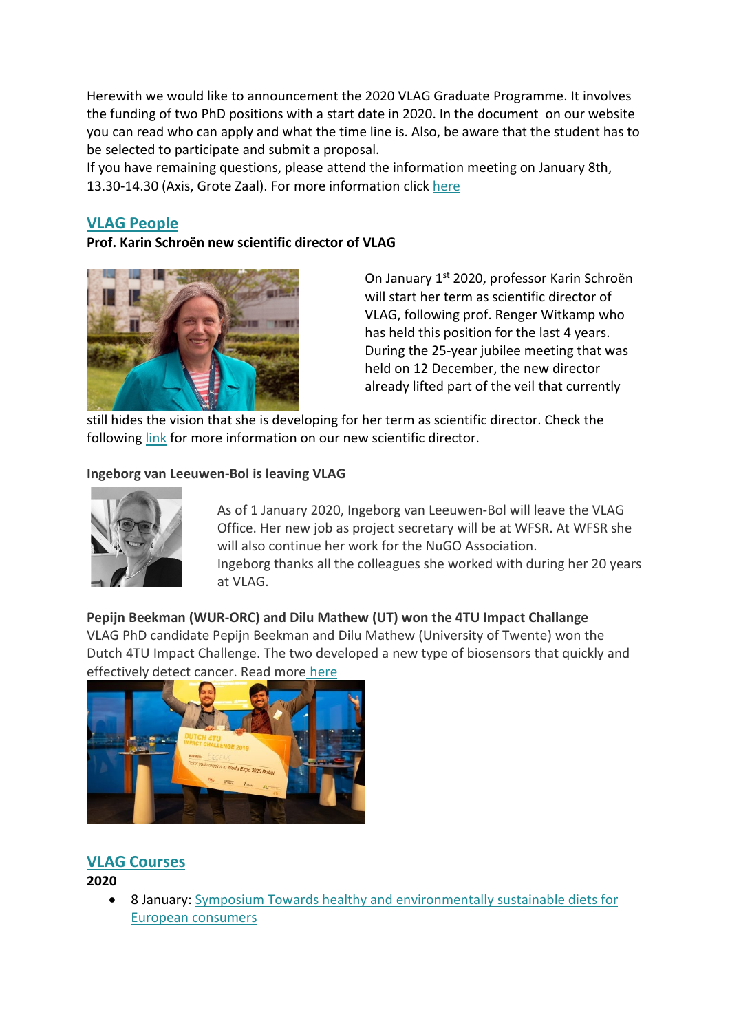Herewith we would like to announcement the 2020 VLAG Graduate Programme. It involves the funding of two PhD positions with a start date in 2020. In the document on our website you can read who can apply and what the time line is. Also, be aware that the student has to be selected to participate and submit a proposal.

If you have remaining questions, please attend the information meeting on January 8th, 13.30-14.30 (Axis, Grote Zaal). For more information click [here](https://www.vlaggraduateschool.nl/en/research/VLAG-calls.htm)

# **VLAG People**

### **Prof. Karin Schroën new scientific director of VLAG**



On January 1<sup>st</sup> 2020, professor Karin Schroën will start her term as scientific director of VLAG, following prof. Renger Witkamp who has held this position for the last 4 years. During the 25-year jubilee meeting that was held on 12 December, the new director already lifted part of the veil that currently

still hides the vision that she is developing for her term as scientific director. Check the followin[g link](https://www.vlaggraduateschool.nl/en/about_vlag/new-scientific-director.htm) for more information on our new scientific director.

### **Ingeborg van Leeuwen-Bol is leaving VLAG**



As of 1 January 2020, Ingeborg van Leeuwen-Bol will leave the VLAG Office. Her new job as project secretary will be at WFSR. At WFSR she will also continue her work for the NuGO Association. Ingeborg thanks all the colleagues she worked with during her 20 years at VLAG.

### **Pepijn Beekman (WUR-ORC) and Dilu Mathew (UT) won the 4TU Impact Challange** VLAG PhD candidate Pepijn Beekman and Dilu Mathew (University of Twente) won the

Dutch 4TU Impact Challenge. The two developed a new type of biosensors that quickly and effectively detect cancer. Read more [here](https://resource.wur.nl/en/science/show/WUR-researcher-wins-4TU-Challenge-with-sensors-for-faster-cancer-detection.htm)



# **VLAG Courses**

## **2020**

• 8 January: [Symposium Towards healthy and environmentally sustainable diets for](https://www.tifn.nl/news/symposium-towards-healthy-and-environmentally-sustainable-diets-for-european-consumers/)  [European consumers](https://www.tifn.nl/news/symposium-towards-healthy-and-environmentally-sustainable-diets-for-european-consumers/)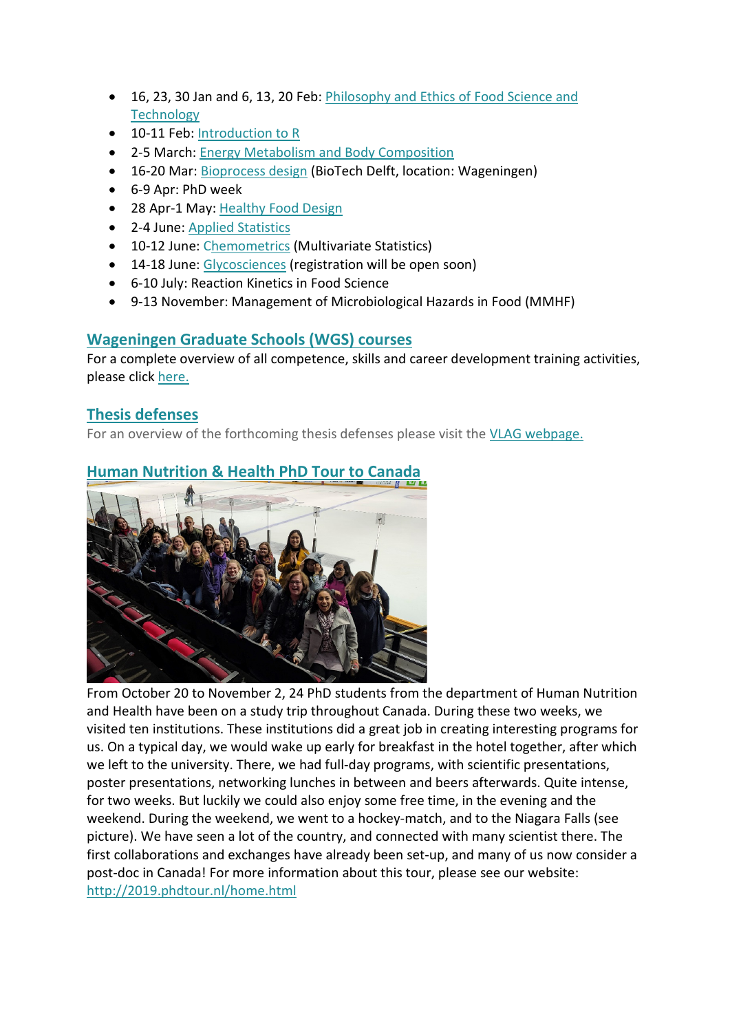- 16, 23, 30 Jan and 6, 13, 20 Feb: [Philosophy and Ethics of Food Science and](https://www.vlaggraduateschool.nl/en/courses/General-courses/VLAG-general-courses.htm)  **[Technology](https://www.vlaggraduateschool.nl/en/courses/General-courses/VLAG-general-courses.htm)**
- 10-11 Feb: [Introduction to R](https://www.vlaggraduateschool.nl/en/courses/General-courses/VLAG-general-courses/VLAG-Statistics-courses/Introduction-to-R.htm)
- 2-5 March: [Energy Metabolism and Body Composition](https://www.vlaggraduateschool.nl/en/courses/course/EMBC20.htm)
- 16-20 Mar[: Bioprocess design](https://www.vlaggraduateschool.nl/en/courses/course/Advanced-Course-Bioprocess-Design19-1.htm) (BioTech Delft, location: Wageningen)
- 6-9 Apr: PhD week
- 28 Apr-1 May: [Healthy Food Design](https://www.vlaggraduateschool.nl/en/courses/course/HFD20.htm)
- 2-4 June[: Applied Statistics](https://www.vlaggraduateschool.nl/en/courses/General-courses/VLAG-general-courses/VLAG-Statistics-courses/Applied-statistics.htm)
- 10-12 June: [Chemometrics](https://www.vlaggraduateschool.nl/en/courses/General-courses/VLAG-general-courses/VLAG-Statistics-courses/Chemometrics-Multivariate-Statistics.htm) (Multivariate Statistics)
- 14-18 June: [Glycosciences](https://www.vlaggraduateschool.nl/en/courses/course/Glycosciences20.htm) (registration will be open soon)
- 6-10 July: Reaction Kinetics in Food Science
- 9-13 November: Management of Microbiological Hazards in Food (MMHF)

# **Wageningen Graduate Schools (WGS) courses**

For a complete overview of all competence, skills and career development training activities, please click [here.](https://wgs.crs.wur.nl/)

# **Thesis defenses**

For an overview of the forthcoming thesis defenses please visit the [VLAG webpage.](https://www.vlaggraduateschool.nl/en.htm)

# **Human Nutrition & Health PhD Tour to Canada**



From October 20 to November 2, 24 PhD students from the department of Human Nutrition and Health have been on a study trip throughout Canada. During these two weeks, we visited ten institutions. These institutions did a great job in creating interesting programs for us. On a typical day, we would wake up early for breakfast in the hotel together, after which we left to the university. There, we had full-day programs, with scientific presentations, poster presentations, networking lunches in between and beers afterwards. Quite intense, for two weeks. But luckily we could also enjoy some free time, in the evening and the weekend. During the weekend, we went to a hockey-match, and to the Niagara Falls (see picture). We have seen a lot of the country, and connected with many scientist there. The first collaborations and exchanges have already been set-up, and many of us now consider a post-doc in Canada! For more information about this tour, please see our website: <http://2019.phdtour.nl/home.html>